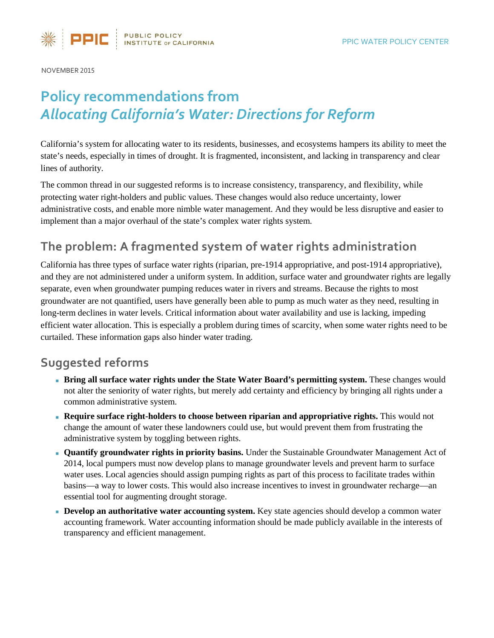

NOVEMBER 2015

# **Policy recommendations from** *[Allocating California's Water: Directions for Reform](http://www.ppic.org/main/publication.asp?i=1170)*

California's system for allocating water to its residents, businesses, and ecosystems hampers its ability to meet the state's needs, especially in times of drought. It is fragmented, inconsistent, and lacking in transparency and clear lines of authority.

The common thread in our suggested reforms is to increase consistency, transparency, and flexibility, while protecting water right-holders and public values. These changes would also reduce uncertainty, lower administrative costs, and enable more nimble water management. And they would be less disruptive and easier to implement than a major overhaul of the state's complex water rights system.

## **The problem: A fragmented system of water rights administration**

California has three types of surface water rights (riparian, pre-1914 appropriative, and post-1914 appropriative), and they are not administered under a uniform system. In addition, surface water and groundwater rights are legally separate, even when groundwater pumping reduces water in rivers and streams. Because the rights to most groundwater are not quantified, users have generally been able to pump as much water as they need, resulting in long-term declines in water levels. Critical information about water availability and use is lacking, impeding efficient water allocation. This is especially a problem during times of scarcity, when some water rights need to be curtailed. These information gaps also hinder water trading.

### **Suggested reforms**

- **Bring all surface water rights under the State Water Board's permitting system.** These changes would not alter the seniority of water rights, but merely add certainty and efficiency by bringing all rights under a common administrative system.
- **Require surface right-holders to choose between riparian and appropriative rights.** This would not change the amount of water these landowners could use, but would prevent them from frustrating the administrative system by toggling between rights.
- **Quantify groundwater rights in priority basins.** Under the Sustainable Groundwater Management Act of 2014, local pumpers must now develop plans to manage groundwater levels and prevent harm to surface water uses. Local agencies should assign pumping rights as part of this process to facilitate trades within basins—a way to lower costs. This would also increase incentives to invest in groundwater recharge—an essential tool for augmenting drought storage.
- **Develop an authoritative water accounting system.** Key state agencies should develop a common water accounting framework. Water accounting information should be made publicly available in the interests of transparency and efficient management.